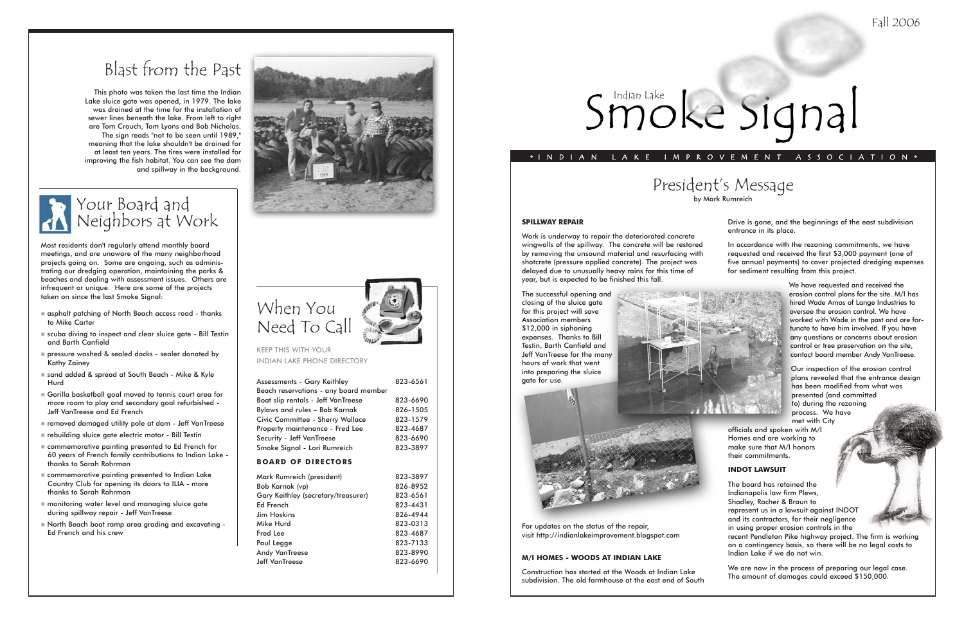# President's Message

by Mark Rumreich

### **SPILLWAY REPAIR**

Work is underway to repair the deteriorated concrete wingwalls of the spillway. The concrete will be restored by removing the unsound material and resurfacing with shotcrete (pressure applied concrete). The project was delayed due to unusually heavy rains for this time of year, but is expected to be finished this fall.

The successful opening and closing of the sluice gate for this project will save Association members \$12,000 in siphoning expenses. Thanks to Bill Testin, Barth Canfield and Jeff VanTreese for the many hours of work that went into preparing the sluice gate for use.

For updates on the status of the repair, visit http://indianlakeimprovement.blogspot.com

#### **M/I HOMES - WOODS AT INDIAN LAKE**

Construction has started at the Woods at Indian Lake subdivision. The old farmhouse at the east end of South Drive is gone, and the beginnings of the east subdivision entrance in its place.

In accordance with the rezoning commitments, we have requested and received the first \$3,000 payment (one of five annual payments) to cover projected dredging expenses for sediment resulting from this project.

> We have requested and received the erosion control plans for the site. M/I has hired Wade Amos of Lange Industries to oversee the erosion control. We have worked with Wade in the past and are fortunate to have him involved. If you have any questions or concerns about erosion control or tree preservation on the site, contact board member Andy VanTreese.

Our inspection of the erosion control plans revealed that the entrance design has been modified from what was presented (and committed to) during the rezoning process. We have met with City

officials and spoken with M/I Homes and are working to make sure that M/I honors their commitments.



The board has retained the Indianapolis law firm Plews, Shadley, Racher & Braun to represent us in a lawsuit against INDOT and its contractors, for their negligence in using proper erosion controls in the recent Pendleton Pike highway project. The firm is working on a contingency basis, so there will be no legal costs to Indian Lake if we do not win.

- $\blacksquare$  asphalt patching of North Beach access road thanks to Mike Carter
- scuba diving to inspect and clear sluice gate Bill Testin and Barth Canfield
- pressure washed & sealed docks sealer donated by Kathy Zainey
- sand added & spread at South Beach Mike & Kyle Hurd
- Gorilla basketball goal moved to tennis court area for more room to play and secondary goal refurbished - Jeff VanTreese and Ed French
- removed damaged utility pole at dam Jeff VanTreese
- rebuilding sluice gate electric motor Bill Testin
- commemorative painting presented to Ed French for 60 years of French family contributions to Indian Lake thanks to Sarah Rohrman
- commemorative painting presented to Indian Lake Country Club for opening its doors to ILIA - more thanks to Sarah Rohrman
- monitoring water level and managing sluice gate during spillway repair - Jeff VanTreese
- North Beach boat ramp area grading and excavating Ed French and his crew



We are now in the process of preparing our legal case. The amount of damages could exceed \$150,000.

### ◆ INDIAN LAKE IMPROVEMENT ASSOCIATION ◆





KEEP THIS WITH YOUR INDIAN LAKE PHONE DIRECTORY

| Assessments - Gary Keithley           | 823-6561 |
|---------------------------------------|----------|
| Beach reservations - any board member |          |
| Boat slip rentals - Jeff VanTreese    | 823-6690 |
| Bylaws and rules - Bob Karnak         | 826-1505 |
| Civic Committee - Sherry Wallace      | 823-1579 |
| Property maintenance - Fred Lee       | 823-4687 |
| <b>Security - Jeff VanTreese</b>      | 823-6690 |
| Smoke Signal - Lori Rumreich          | 823-3897 |
| <b>BOARD OF DIRECTORS</b>             |          |
|                                       |          |
| Mark Rumreich (president)             | 823-3897 |
| Bob Karnak (vp)                       | 826-8952 |
| Gary Keithley (secretary/treasurer)   | 823-6561 |
| Ed French                             | 823-4431 |
| <b>Jim Hoskins</b>                    | 826-4944 |
| Mike Hurd                             | 823-0313 |
| <b>Fred Lee</b>                       | 823-4687 |
| Paul Legge                            | 823-7133 |

Jeff VanTreese 823-6690

# Smoke Signal



Most residents don't regularly attend monthly board meetings, and are unaware of the many neighborhood projects going on. Some are ongoing, such as administrating our dredging operation, maintaining the parks & beaches and dealing with assessment issues. Others are infrequent or unique. Here are some of the projects taken on since the last Smoke Signal:

# Blast from the Past

This photo was taken the last time the Indian Lake sluice gate was opened, in 1979. The lake was drained at the time for the installation of sewer lines beneath the lake. From left to right are Tom Crouch, Tom Lyons and Bob Nicholas. The sign reads "not to be seen until 1989," meaning that the lake shouldn't be drained for at least ten years. The tires were installed for improving the fish habitat. You can see the dam and spillway in the background.